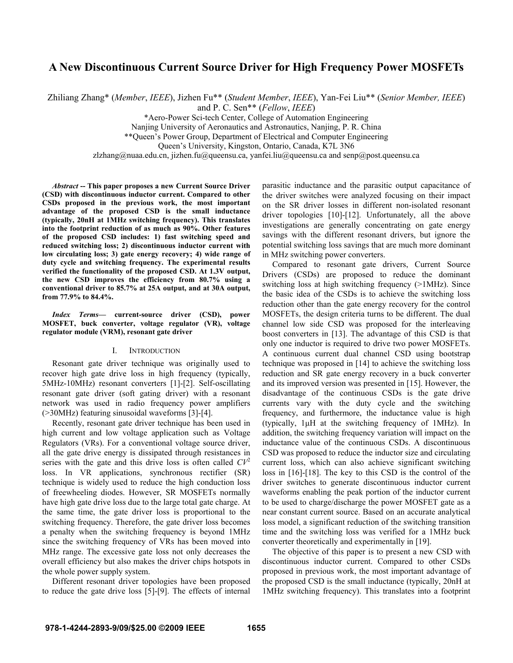# **A New Discontinuous Current Source Driver for High Frequency Power MOSFETs**

Zhiliang Zhang\* (*Member*, *IEEE*), Jizhen Fu\*\* (*Student Member*, *IEEE*), Yan-Fei Liu\*\* (*Senior Member, IEEE*)

and P. C. Sen\*\* (*Fellow*, *IEEE*)

\*Aero-Power Sci-tech Center, College of Automation Engineering

Nanjing University of Aeronautics and Astronautics, Nanjing, P. R. China

\*\*Queen's Power Group, Department of Electrical and Computer Engineering

Queen's University, Kingston, Ontario, Canada, K7L 3N6

zlzhang@nuaa.edu.cn, jizhen.fu@queensu.ca, yanfei.liu@queensu.ca and senp@post.queensu.ca

*Abstract* **-- This paper proposes a new Current Source Driver (CSD) with discontinuous inductor current. Compared to other CSDs proposed in the previous work, the most important advantage of the proposed CSD is the small inductance (typically, 20nH at 1MHz switching frequency). This translates into the footprint reduction of as much as 90%. Other features of the proposed CSD includes: 1) fast switching speed and reduced switching loss; 2) discontinuous inductor current with low circulating loss; 3) gate energy recovery; 4) wide range of duty cycle and switching frequency. The experimental results verified the functionality of the proposed CSD. At 1.3V output, the new CSD improves the efficiency from 80.7% using a conventional driver to 85.7% at 25A output, and at 30A output, from 77.9% to 84.4%.** 

*Index Terms***— current-source driver (CSD), power MOSFET, buck converter, voltage regulator (VR), voltage regulator module (VRM), resonant gate driver** 

## I. INTRODUCTION

Resonant gate driver technique was originally used to recover high gate drive loss in high frequency (typically, 5MHz-10MHz) resonant converters [1]-[2]. Self-oscillating resonant gate driver (soft gating driver) with a resonant network was used in radio frequency power amplifiers (>30MHz) featuring sinusoidal waveforms [3]-[4].

Recently, resonant gate driver technique has been used in high current and low voltage application such as Voltage Regulators (VRs). For a conventional voltage source driver, all the gate drive energy is dissipated through resistances in series with the gate and this drive loss is often called  $CV<sup>2</sup>$ loss. In VR applications, synchronous rectifier (SR) technique is widely used to reduce the high conduction loss of freewheeling diodes. However, SR MOSFETs normally have high gate drive loss due to the large total gate charge. At the same time, the gate driver loss is proportional to the switching frequency. Therefore, the gate driver loss becomes a penalty when the switching frequency is beyond 1MHz since the switching frequency of VRs has been moved into MHz range. The excessive gate loss not only decreases the overall efficiency but also makes the driver chips hotspots in the whole power supply system.

Different resonant driver topologies have been proposed to reduce the gate drive loss [5]-[9]. The effects of internal parasitic inductance and the parasitic output capacitance of the driver switches were analyzed focusing on their impact on the SR driver losses in different non-isolated resonant driver topologies [10]-[12]. Unfortunately, all the above investigations are generally concentrating on gate energy savings with the different resonant drivers, but ignore the potential switching loss savings that are much more dominant in MHz switching power converters.

Compared to resonant gate drivers, Current Source Drivers (CSDs) are proposed to reduce the dominant switching loss at high switching frequency (>1MHz). Since the basic idea of the CSDs is to achieve the switching loss reduction other than the gate energy recovery for the control MOSFETs, the design criteria turns to be different. The dual channel low side CSD was proposed for the interleaving boost converters in [13]. The advantage of this CSD is that only one inductor is required to drive two power MOSFETs. A continuous current dual channel CSD using bootstrap technique was proposed in [14] to achieve the switching loss reduction and SR gate energy recovery in a buck converter and its improved version was presented in [15]. However, the disadvantage of the continuous CSDs is the gate drive currents vary with the duty cycle and the switching frequency, and furthermore, the inductance value is high (typically, 1μH at the switching frequency of 1MHz). In addition, the switching frequency variation will impact on the inductance value of the continuous CSDs. A discontinuous CSD was proposed to reduce the inductor size and circulating current loss, which can also achieve significant switching loss in [16]-[18]. The key to this CSD is the control of the driver switches to generate discontinuous inductor current waveforms enabling the peak portion of the inductor current to be used to charge/discharge the power MOSFET gate as a near constant current source. Based on an accurate analytical loss model, a significant reduction of the switching transition time and the switching loss was verified for a 1MHz buck converter theoretically and experimentally in [19].

The objective of this paper is to present a new CSD with discontinuous inductor current. Compared to other CSDs proposed in previous work, the most important advantage of the proposed CSD is the small inductance (typically, 20nH at 1MHz switching frequency). This translates into a footprint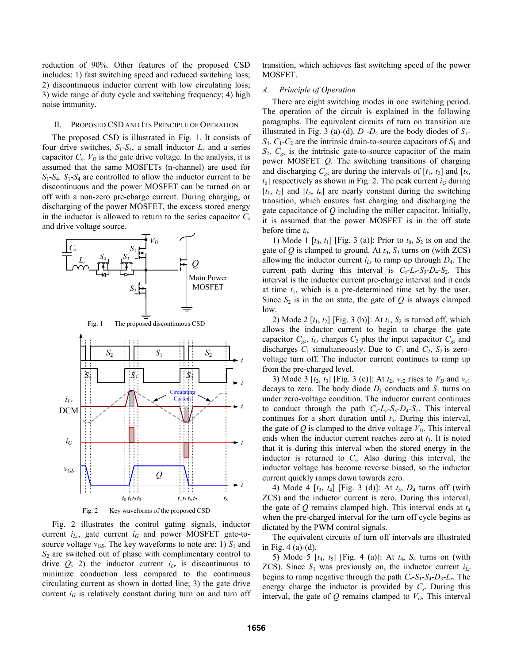reduction of 90%. Other features of the proposed CSD includes: 1) fast switching speed and reduced switching loss; 2) discontinuous inductor current with low circulating loss; 3) wide range of duty cycle and switching frequency; 4) high noise immunity.

#### II. PROPOSED CSD AND ITS PRINCIPLE OF OPERATION

The proposed CSD is illustrated in Fig. 1. It consists of four drive switches,  $S_1$ - $S_4$ , a small inductor  $L_r$  and a series capacitor  $C_s$ .  $V_D$  is the gate drive voltage. In the analysis, it is assumed that the same MOSFETs (n-channel) are used for  $S_1$ - $S_4$ .  $S_1$ - $S_4$  are controlled to allow the inductor current to be discontinuous and the power MOSFET can be turned on or off with a non-zero pre-charge current. During charging, or discharging of the power MOSFET, the excess stored energy in the inductor is allowed to return to the series capacitor  $C_s$ and drive voltage source.



Fig. 2 illustrates the control gating signals, inductor current  $i_{Lr}$ , gate current  $i_G$  and power MOSFET gate-tosource voltage  $v_{GS}$ . The key waveforms to note are: 1)  $S_1$  and *S*2 are switched out of phase with complimentary control to drive  $Q$ ; 2) the inductor current  $i_{Lr}$  is discontinuous to minimize conduction loss compared to the continuous circulating current as shown in dotted line; 3) the gate drive current  $i_G$  is relatively constant during turn on and turn off

transition, which achieves fast switching speed of the power MOSFET.

#### *A. Principle of Operation*

There are eight switching modes in one switching period. The operation of the circuit is explained in the following paragraphs. The equivalent circuits of turn on transition are illustrated in Fig. 3 (a)-(d).  $D_1$ - $D_4$  are the body diodes of  $S_1$ - $S_4$ .  $C_1$ - $C_2$  are the intrinsic drain-to-source capacitors of  $S_1$  and  $S_2$ .  $C_{gs}$  is the intrinsic gate-to-source capacitor of the main power MOSFET *Q*. The switching transitions of charging and discharging  $C_{gs}$  are during the intervals of  $[t_1, t_2]$  and  $[t_5, t_6]$  $t_6$ ] respectively as shown in Fig. 2. The peak current  $i_G$  during  $[t_1, t_2]$  and  $[t_5, t_6]$  are nearly constant during the switching transition, which ensures fast charging and discharging the gate capacitance of *Q* including the miller capacitor. Initially, it is assumed that the power MOSFET is in the off state before time  $t_0$ .

1) Mode 1  $[t_0, t_1]$  [Fig. 3 (a)]: Prior to  $t_0$ ,  $S_2$  is on and the gate of  $Q$  is clamped to ground. At  $t_0$ ,  $S_3$  turns on (with ZCS) allowing the inductor current  $i_{Lr}$  to ramp up through  $D_4$ . The current path during this interval is  $C_s - L_r - S_3 - D_4 - S_2$ . This interval is the inductor current pre-charge interval and it ends at time *t*1, which is a pre-determined time set by the user. Since  $S_2$  is in the on state, the gate of  $Q$  is always clamped low.

2) Mode 2  $[t_1, t_2]$  [Fig. 3 (b)]: At  $t_1$ ,  $S_2$  is turned off, which allows the inductor current to begin to charge the gate capacitor  $C_{gs}$ .  $i_{Lr}$  charges  $C_2$  plus the input capacitor  $C_{gs}$  and discharges  $C_1$  simultaneously. Due to  $C_1$  and  $C_2$ ,  $S_2$  is zerovoltage turn off. The inductor current continues to ramp up from the pre-charged level.

3) Mode 3  $[t_2, t_3]$  [Fig. 3 (c)]: At  $t_2, v_{c2}$  rises to  $V_D$  and  $v_{c1}$ decays to zero. The body diode  $D_1$  conducts and  $S_1$  turns on under zero-voltage condition. The inductor current continues to conduct through the path  $C_s - L_r - S_3 - D_4 - S_1$ . This interval continues for a short duration until *t*3. During this interval, the gate of  $Q$  is clamped to the drive voltage  $V<sub>D</sub>$ . This interval ends when the inductor current reaches zero at  $t_3$ . It is noted that it is during this interval when the stored energy in the inductor is returned to *Cs*. Also during this interval, the inductor voltage has become reverse biased, so the inductor current quickly ramps down towards zero.

4) Mode 4 [*t*3, *t*4] [Fig. 3 (d)]: At *t*3, *D*4 turns off (with ZCS) and the inductor current is zero. During this interval, the gate of *Q* remains clamped high. This interval ends at *t*<sup>4</sup> when the pre-charged interval for the turn off cycle begins as dictated by the PWM control signals.

The equivalent circuits of turn off intervals are illustrated in Fig. 4 (a)-(d).

5) Mode 5 [*t*4, *t*5] [Fig. 4 (a)]: At *t*4, *S*4 turns on (with ZCS). Since  $S_1$  was previously on, the inductor current  $i_{Lr}$ begins to ramp negative through the path  $C_s$ - $S_1$ - $S_4$ - $D_3$ - $L_r$ . The energy charge the inductor is provided by *Cs*. During this interval, the gate of  $Q$  remains clamped to  $V<sub>D</sub>$ . This interval

*t*

*t*

*t*

*t*

*t*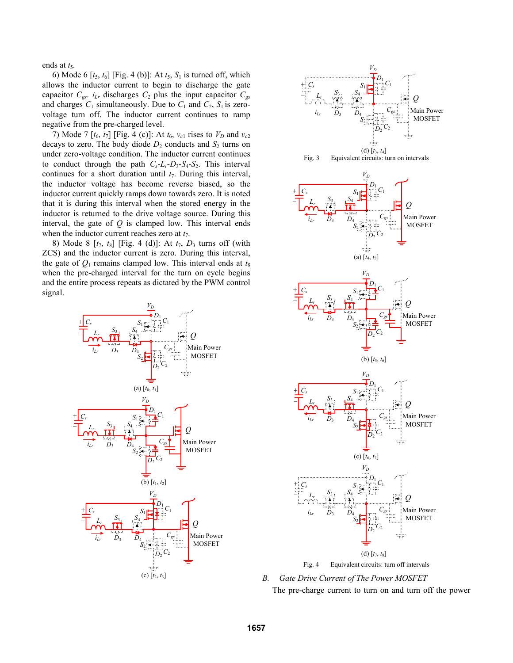ends at  $t_5$ .

6) Mode 6  $[t_5, t_6]$  [Fig. 4 (b)]: At  $t_5$ ,  $S_1$  is turned off, which allows the inductor current to begin to discharge the gate capacitor  $C_{gs}$ .  $i_{Lr}$  discharges  $C_2$  plus the input capacitor  $C_{gs}$ and charges  $C_1$  simultaneously. Due to  $C_1$  and  $C_2$ ,  $S_1$  is zerovoltage turn off. The inductor current continues to ramp negative from the pre-charged level.

7) Mode 7  $[t_6, t_7]$  [Fig. 4 (c)]: At  $t_6$ ,  $v_{c1}$  rises to  $V_D$  and  $v_{c2}$ decays to zero. The body diode  $D_2$  conducts and  $S_2$  turns on under zero-voltage condition. The inductor current continues to conduct through the path  $C_s - L_r - D_3 - S_4 - S_2$ . This interval continues for a short duration until  $t_7$ . During this interval, the inductor voltage has become reverse biased, so the inductor current quickly ramps down towards zero. It is noted that it is during this interval when the stored energy in the inductor is returned to the drive voltage source. During this interval, the gate of *Q* is clamped low. This interval ends when the inductor current reaches zero at  $t_7$ .

8) Mode 8 [*t*7, *t*8] [Fig. 4 (d)]: At *t*7, *D*3 turns off (with ZCS) and the inductor current is zero. During this interval, the gate of  $Q_1$  remains clamped low. This interval ends at  $t_8$ when the pre-charged interval for the turn on cycle begins and the entire process repeats as dictated by the PWM control signal.





*B. Gate Drive Current of The Power MOSFET* 

The pre-charge current to turn on and turn off the power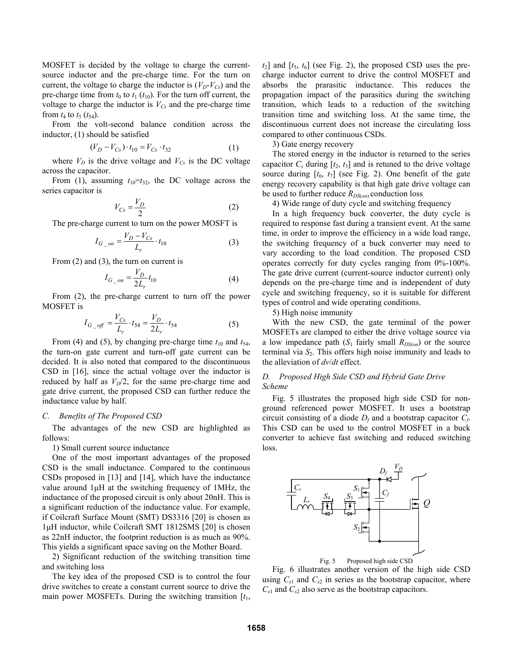MOSFET is decided by the voltage to charge the currentsource inductor and the pre-charge time. For the turn on current, the voltage to charge the inductor is  $(V_D - V_{Cs})$  and the pre-charge time from  $t_0$  to  $t_1$  ( $t_{10}$ ). For the turn off current, the voltage to charge the inductor is  $V_{Cs}$  and the pre-charge time from  $t_4$  to  $t_5$  ( $t_{54}$ ).

From the volt-second balance condition across the inductor, (1) should be satisfied

$$
(V_D - V_{Cs}) \cdot t_{10} = V_{Cs} \cdot t_{32} \tag{1}
$$

where  $V_D$  is the drive voltage and  $V_{Cs}$  is the DC voltage across the capacitor.

From (1), assuming  $t_{10} = t_{32}$ , the DC voltage across the series capacitor is

$$
V_{Cs} = \frac{V_D}{2} \tag{2}
$$

The pre-charge current to turn on the power MOSFT is

$$
I_{G\_on} = \frac{V_D - V_{Cs}}{L_r} \cdot t_{10}
$$
 (3)

From (2) and (3), the turn on current is

$$
I_{G\_on} = \frac{V_D}{2L_r} t_{10}
$$
 (4)

From (2), the pre-charge current to turn off the power MOSFET is

$$
I_{G\_off} = \frac{V_{Cs}}{L_r} \cdot t_{54} = \frac{V_D}{2L_r} \cdot t_{54}
$$
 (5)

From (4) and (5), by changing pre-charge time  $t_{10}$  and  $t_{54}$ , the turn-on gate current and turn-off gate current can be decided. It is also noted that compared to the discontinuous CSD in [16], since the actual voltage over the inductor is reduced by half as  $V_D/2$ , for the same pre-charge time and gate drive current, the proposed CSD can further reduce the inductance value by half.

#### *C. Benefits of The Proposed CSD*

The advantages of the new CSD are highlighted as follows:

1) Small current source inductance

One of the most important advantages of the proposed CSD is the small inductance. Compared to the continuous CSDs proposed in [13] and [14], which have the inductance value around 1μH at the switching frequency of 1MHz, the inductance of the proposed circuit is only about 20nH. This is a significant reduction of the inductance value. For example, if Coilcraft Surface Mount (SMT) DS3316 [20] is chosen as 1μH inductor, while Coilcraft SMT 1812SMS [20] is chosen as 22nH inductor, the footprint reduction is as much as 90%. This yields a significant space saving on the Mother Board.

2) Significant reduction of the switching transition time and switching loss

The key idea of the proposed CSD is to control the four drive switches to create a constant current source to drive the main power MOSFETs. During the switching transition [*t*1,

 $t_2$ ] and  $[t_5, t_6]$  (see Fig. 2), the proposed CSD uses the precharge inductor current to drive the control MOSFET and absorbs the prarasitic inductance. This reduces the propagation impact of the parasitics during the switching transition, which leads to a reduction of the switching transition time and switching loss. At the same time, the discontinuous current does not increase the circulating loss compared to other continuous CSDs.

3) Gate energy recovery

The stored energy in the inductor is returned to the series capacitor  $C_s$  during  $[t_2, t_3]$  and is retuned to the drive voltage source during  $[t_6, t_7]$  (see Fig. 2). One benefit of the gate energy recovery capability is that high gate drive voltage can be used to further reduce  $R_{DS(on)}$  conduction loss.

4) Wide range of duty cycle and switching frequency

In a high frequency buck converter, the duty cycle is required to response fast during a transient event. At the same time, in order to improve the efficiency in a wide load range, the switching frequency of a buck converter may need to vary according to the load condition. The proposed CSD operates correctly for duty cycles ranging from 0%-100%. The gate drive current (current-source inductor current) only depends on the pre-charge time and is independent of duty cycle and switching frequency, so it is suitable for different types of control and wide operating conditions.

5) High noise immunity

With the new CSD, the gate terminal of the power MOSFETs are clamped to either the drive voltage source via a low impedance path  $(S_1 \text{ fairly small } R_{DS(on)})$  or the source terminal via  $S_2$ . This offers high noise immunity and leads to the alleviation of *dv*/*dt* effect.

## *D. Proposed High Side CSD and Hybrid Gate Drive Scheme*

Fig. 5 illustrates the proposed high side CSD for nonground referenced power MOSFET. It uses a bootstrap circuit consisting of a diode  $D_f$  and a bootstrap capacitor  $C_f$ . This CSD can be used to the control MOSFET in a buck converter to achieve fast switching and reduced switching loss.



Fig. 5 Proposed high side CSD

Fig. 6 illustrates another version of the high side CSD using  $C_{s1}$  and  $C_{s2}$  in series as the bootstrap capacitor, where  $C_{s1}$  and  $C_{s2}$  also serve as the bootstrap capacitors.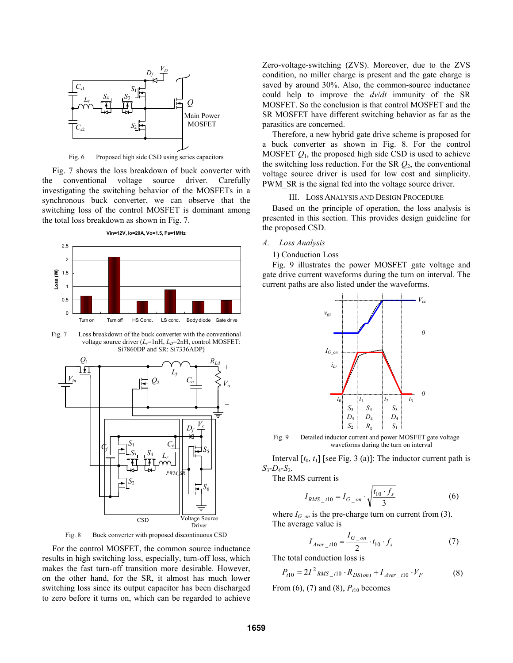

Fig. 6 Proposed high side CSD using series capacitors

Fig. 7 shows the loss breakdown of buck converter with the conventional voltage source driver. Carefully investigating the switching behavior of the MOSFETs in a synchronous buck converter, we can observe that the switching loss of the control MOSFET is dominant among the total loss breakdown as shown in Fig. 7.

**Vin=12V, Io=20A, Vo=1.5, Fs=1MHz**



Fig. 7 Loss breakdown of the buck converter with the conventional voltage source driver (*L<sub>s</sub>*=1nH, *L<sub>D</sub>*=2nH, control MOSFET: Si7860DP and SR: Si7336ADP)





For the control MOSFET, the common source inductance results in high switching loss, especially, turn-off loss, which makes the fast turn-off transition more desirable. However, on the other hand, for the SR, it almost has much lower switching loss since its output capacitor has been discharged to zero before it turns on, which can be regarded to achieve

Zero-voltage-switching (ZVS). Moreover, due to the ZVS condition, no miller charge is present and the gate charge is saved by around 30%. Also, the common-source inductance could help to improve the *dv*/*dt* immunity of the SR MOSFET. So the conclusion is that control MOSFET and the SR MOSFET have different switching behavior as far as the parasitics are concerned.

Therefore, a new hybrid gate drive scheme is proposed for a buck converter as shown in Fig. 8. For the control MOSFET  $Q_1$ , the proposed high side CSD is used to achieve the switching loss reduction. For the SR *Q*2, the conventional voltage source driver is used for low cost and simplicity. PWM SR is the signal fed into the voltage source driver.

## III. LOSS ANALYSIS AND DESIGN PROCEDURE

Based on the principle of operation, the loss analysis is presented in this section. This provides design guideline for the proposed CSD.

## *A. Loss Analysis*

## 1) Conduction Loss

Fig. 9 illustrates the power MOSFET gate voltage and gate drive current waveforms during the turn on interval. The current paths are also listed under the waveforms.



Fig. 9 Detailed inductor current and power MOSFET gate voltage waveforms during the turn on interval

Interval  $[t_0, t_1]$  [see Fig. 3 (a)]: The inductor current path is  $S_3 - D_4 - S_2$ .

The RMS current is

$$
I_{RMS\_t10} = I_{G\_on} \cdot \sqrt{\frac{t_{10} \cdot f_s}{3}}
$$
 (6)

where  $I_{G \text{ on }}$  is the pre-charge turn on current from (3). The average value is

$$
I_{Aver\_t10} = \frac{I_{G\_on}}{2} \cdot t_{10} \cdot f_s \tag{7}
$$

The total conduction loss is

$$
P_{t10} = 2I^2 \, \text{RMS}_{t10} \cdot R_{DS(on)} + I_{Aver_{t10}} \cdot V_F \tag{8}
$$

From  $(6)$ ,  $(7)$  and  $(8)$ ,  $P_{t10}$  becomes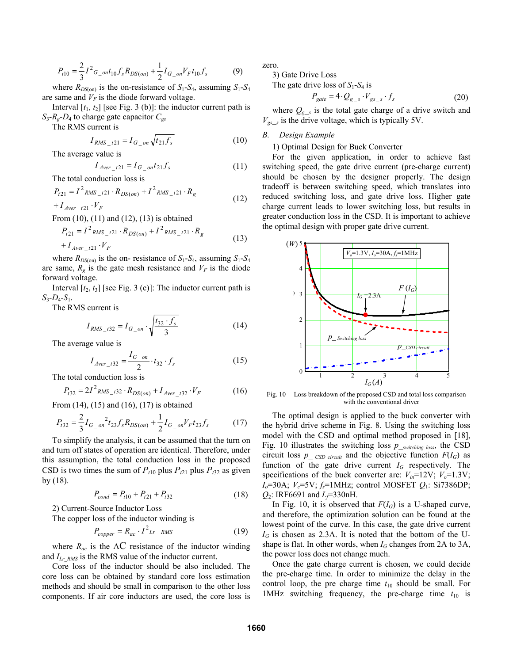$$
P_{t10} = \frac{2}{3}I^2 G_{-}ont_{10}f_s R_{DS(on)} + \frac{1}{2}I_{G_{-}on}V_F t_{10}f_s
$$
 (9)

where  $R_{DS(on)}$  is the on-resistance of  $S_1$ - $S_4$ , assuming  $S_1$ - $S_4$ are same and  $V_F$  is the diode forward voltage.

Interval  $[t_1, t_2]$  [see Fig. 3 (b)]: the inductor current path is *S*3-*Rg-D*4 to charge gate capacitor *Cgs*

The RMS current is

$$
I_{RMS_{-}t21} = I_{G_{-}on} \sqrt{t_{21} f_s}
$$
 (10)

The average value is

$$
I_{Aver\_t21} = I_{G\_on} t_{21} f_s \tag{11}
$$

The total conduction loss is

$$
P_{t21} = I^2_{RMS_t121} \cdot R_{DS(on)} + I^2_{RMS_t121} \cdot R_g
$$
  
+  $I_{Aver_t21} \cdot V_F$  (12)

From (10), (11) and (12), (13) is obtained

$$
P_{t21} = I^2_{RMS_t/21} \cdot R_{DS(on)} + I^2_{RMS_t/21} \cdot R_g
$$
  
+  $I_{Aver_{t21}} \cdot V_F$  (13)

where  $R_{DS(0)}$  is the on- resistance of  $S_1$ - $S_4$ , assuming  $S_1$ - $S_4$ are same,  $R_g$  is the gate mesh resistance and  $V_F$  is the diode forward voltage.

Interval  $[t_2, t_3]$  [see Fig. 3 (c)]: The inductor current path is  $S_3 - D_4 - S_1$ .

The RMS current is

$$
I_{RMS\_t32} = I_{G\_on} \cdot \sqrt{\frac{t_{32} \cdot f_s}{3}}
$$
 (14)

The average value is

$$
I_{Aver\_t32} = \frac{I_{G\_on}}{2} \cdot t_{32} \cdot f_s \tag{15}
$$

The total conduction loss is

$$
P_{t32} = 2I^2 \, \text{RMS}_{132} \cdot R_{DS(on)} + I_{Aver_{132}} \cdot V_F \tag{16}
$$

From (14), (15) and (16), (17) is obtained

$$
P_{t32} = \frac{2}{3} I_{G_{on}}^2 t_{23} f_s R_{DS(on)} + \frac{1}{2} I_{G_{on}} V_F t_{23} f_s \tag{17}
$$

To simplify the analysis, it can be assumed that the turn on and turn off states of operation are identical. Therefore, under this assumption, the total conduction loss in the proposed CSD is two times the sum of  $P_{t10}$  plus  $P_{t21}$  plus  $P_{t32}$  as given by (18).

$$
P_{cond} = P_{t10} + P_{t21} + P_{t32}
$$
 (18)

2) Current-Source Inductor Loss

The copper loss of the inductor winding is

$$
P_{copper} = R_{ac} \cdot I^2_{Lr\_RMS}
$$
 (19)

where  $R_{ac}$  is the AC resistance of the inductor winding and  $I_{Lr,RMS}$  is the RMS value of the inductor current.

Core loss of the inductor should be also included. The core loss can be obtained by standard core loss estimation methods and should be small in comparison to the other loss components. If air core inductors are used, the core loss is zero.

3) Gate Drive Loss

The gate drive loss of  $S_1$ - $S_4$  is

$$
P_{gate} = 4 \cdot Q_{g_s} \cdot V_{gs_s} \cdot f_s \tag{20}
$$

where  $Q_{g,s}$  is the total gate charge of a drive switch and  $V_{gs}$  is the drive voltage, which is typically 5V.

#### *B. Design Example*

## 1) Optimal Design for Buck Converter

For the given application, in order to achieve fast switching speed, the gate drive current (pre-charge current) should be chosen by the designer properly. The design tradeoff is between switching speed, which translates into reduced switching loss, and gate drive loss. Higher gate charge current leads to lower switching loss, but results in greater conduction loss in the CSD. It is important to achieve the optimal design with proper gate drive current.



Fig. 10 Loss breakdown of the proposed CSD and total loss comparison with the conventional driver

The optimal design is applied to the buck converter with the hybrid drive scheme in Fig. 8. Using the switching loss model with the CSD and optimal method proposed in [18], Fig. 10 illustrates the switching loss *p*\_*switching loss*, the CSD circuit loss  $p_{\text{max}}$  *csD circuit* and the objective function  $F(I_G)$  as function of the gate drive current  $I_G$  respectively. The specifications of the buck converter are:  $V_{in}$ =12V;  $V_o$ =1.3V;  $I_o$ =30A;  $V_c$ =5V;  $f_s$ =1MHz; control MOSFET  $Q_1$ : Si7386DP;  $Q_2$ : IRF6691 and *L*<sub> $\bar{f}$ </sub>=330nH.

In Fig. 10, it is observed that  $F(I_G)$  is a U-shaped curve, and therefore, the optimization solution can be found at the lowest point of the curve. In this case, the gate drive current  $I_G$  is chosen as 2.3A. It is noted that the bottom of the Ushape is flat. In other words, when  $I_G$  changes from 2A to 3A, the power loss does not change much.

Once the gate charge current is chosen, we could decide the pre-charge time. In order to minimize the delay in the control loop, the pre charge time  $t_{10}$  should be small. For 1MHz switching frequency, the pre-charge time  $t_{10}$  is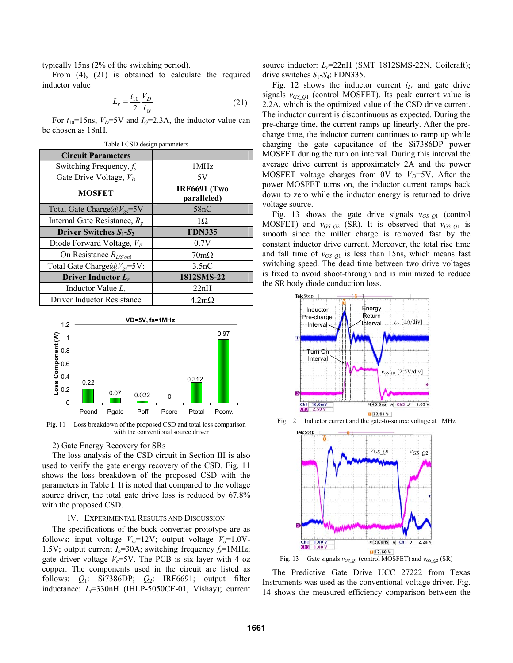typically 15ns (2% of the switching period).

From (4), (21) is obtained to calculate the required inductor value

$$
L_r = \frac{t_{10}}{2} \frac{V_D}{I_G} \tag{21}
$$

For  $t_{10}$ =15ns,  $V_D$ =5V and  $I_G$ =2.3A, the inductor value can be chosen as 18nH.

| Table I CSD design parameters           |                                    |
|-----------------------------------------|------------------------------------|
| <b>Circuit Parameters</b>               |                                    |
| Switching Frequency, $f_s$              | 1MHz                               |
| Gate Drive Voltage, $V_D$               | 5V                                 |
| <b>MOSFET</b>                           | <b>IRF6691 (Two</b><br>paralleled) |
| Total Gate Charge $@V_{gs} = 5V$        | 58nC                               |
| Internal Gate Resistance, $R_{\varphi}$ | 1Ω                                 |
| Driver Switches $S_1-S_2$               | <b>FDN335</b>                      |
| Diode Forward Voltage, $V_F$            | 0.7V                               |
| On Resistance $R_{DS(on)}$              | $70m\Omega$                        |
| Total Gate Charge $@V_{gs} = 5V$ :      | 3.5nC                              |
| Driver Inductor $L_r$                   | 1812SMS-22                         |
| Inductor Value $L_r$                    | 22nH                               |
| Driver Inductor Resistance              | $4.2m\Omega$                       |



Fig. 11 Loss breakdown of the proposed CSD and total loss comparison with the conventional source driver

## 2) Gate Energy Recovery for SRs

The loss analysis of the CSD circuit in Section III is also used to verify the gate energy recovery of the CSD. Fig. 11 shows the loss breakdown of the proposed CSD with the parameters in Table I. It is noted that compared to the voltage source driver, the total gate drive loss is reduced by  $67.8\%$ with the proposed CSD.

#### IV. EXPERIMENTAL RESULTS AND DISCUSSION

The specifications of the buck converter prototype are as follows: input voltage  $V_{in}$ =12V; output voltage  $V_o$ =1.0V-1.5V; output current  $I_0$ =30A; switching frequency  $f_s$ =1MHz; gate driver voltage  $V_c$ =5V. The PCB is six-layer with 4 oz copper. The components used in the circuit are listed as follows: *Q*1: Si7386DP; *Q*2: IRF6691; output filter inductance: *L<sub>F</sub>*=330nH (IHLP-5050CE-01, Vishay); current source inductor: *L<sub>r</sub>*=22nH (SMT 1812SMS-22N, Coilcraft); drive switches *S*1-*S*4: FDN335.

Fig. 12 shows the inductor current  $i_{Lr}$  and gate drive signals  $v_{GSO1}$  (control MOSFET). Its peak current value is 2.2A, which is the optimized value of the CSD drive current. The inductor current is discontinuous as expected. During the pre-charge time, the current ramps up linearly. After the precharge time, the inductor current continues to ramp up while charging the gate capacitance of the Si7386DP power MOSFET during the turn on interval. During this interval the average drive current is approximately 2A and the power MOSFET voltage charges from 0V to  $V_D$ =5V. After the power MOSFET turns on, the inductor current ramps back down to zero while the inductor energy is returned to drive voltage source.

Fig. 13 shows the gate drive signals  $v_{GSQ1}$  (control MOSFET) and  $v_{GSO2}$  (SR). It is observed that  $v_{GSO1}$  is smooth since the miller charge is removed fast by the constant inductor drive current. Moreover, the total rise time and fall time of  $v_{GSQ1}$  is less than 15ns, which means fast switching speed. The dead time between two drive voltages is fixed to avoid shoot-through and is minimized to reduce the SR body diode conduction loss.





The Predictive Gate Drive UCC 27222 from Texas Instruments was used as the conventional voltage driver. Fig. 14 shows the measured efficiency comparison between the